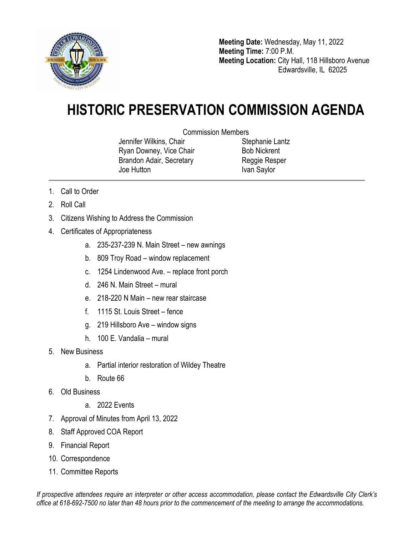

**Meeting Date:** Wednesday, May 11, 2022 **Meeting Time:** 7:00 P.M. **Meeting Location:** City Hall, 118 Hillsboro Avenue Edwardsville, IL 62025

## **HISTORIC PRESERVATION COMMISSION AGENDA**

Commission Members

Jennifer Wilkins, Chair Ryan Downey, Vice Chair Brandon Adair, Secretary Joe Hutton

Stephanie Lantz Bob Nickrent Reggie Resper Ivan Saylor

- 1. Call to Order
- 2. Roll Call
- 3. Citizens Wishing to Address the Commission
- 4. Certificates of Appropriateness
	- a. 235-237-239 N. Main Street new awnings
	- b. 809 Troy Road window replacement
	- c. 1254 Lindenwood Ave. replace front porch
	- d. 246 N. Main Street mural
	- e. 218-220 N Main new rear staircase
	- f. 1115 St. Louis Street fence
	- g. 219 Hillsboro Ave window signs
	- h. 100 E. Vandalia mural
- 5. New Business
	- a. Partial interior restoration of Wildey Theatre
	- b. Route 66
- 6. Old Business
	- a. 2022 Events
- 7. Approval of Minutes from April 13, 2022
- 8. Staff Approved COA Report
- 9. Financial Report
- 10. Correspondence
- 11. Committee Reports

*If prospective attendees require an interpreter or other access accommodation, please contact the Edwardsville City Clerk's office at 618-692-7500 no later than 48 hours prior to the commencement of the meeting to arrange the accommodations.*